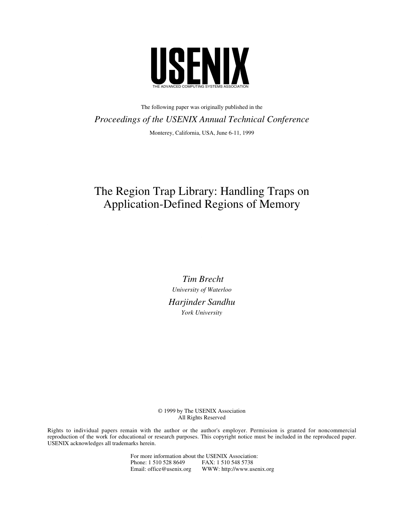

The following paper was originally published in the *Proceedings of the USENIX Annual Technical Conference* Monterey, California, USA, June 6-11, 1999

# The Region Trap Library: Handling Traps on Application-Defined Regions of Memory

*Tim Brecht University of Waterloo Harjinder Sandhu York University*

© 1999 by The USENIX Association All Rights Reserved

Rights to individual papers remain with the author or the author's employer. Permission is granted for noncommercial reproduction of the work for educational or research purposes. This copyright notice must be included in the reproduced paper. USENIX acknowledges all trademarks herein.

> For more information about the USENIX Association: Phone: 1 510 528 8649 FAX: 1 510 548 5738 Email: office@usenix.org WWW: http://www.usenix.org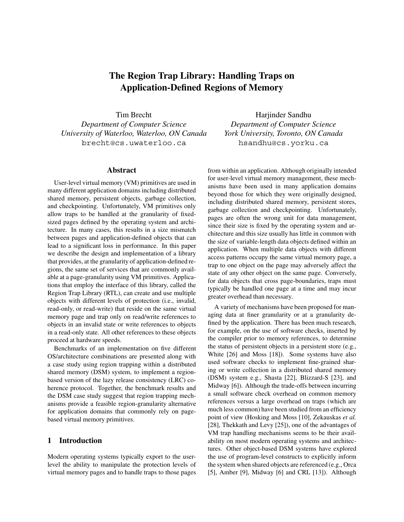# **The Region Trap Library: Handling Traps on Application-Defined Regions of Memory**

Tim Brecht *Department of Computer Science University of Waterloo, Waterloo, ON Canada* brecht@cs.uwaterloo.ca

#### **Abstract**

User-level virtual memory (VM) primitives are used in many different application domains including distributed shared memory, persistent objects, garbage collection, and checkpointing. Unfortunately, VM primitives only allow traps to be handled at the granularity of fixedsized pages defined by the operating system and architecture. In many cases, this results in a size mismatch between pages and application-defined objects that can lead to a significant loss in performance. In this paper we describe the design and implementation of a library that provides, at the granularity of application-defined regions, the same set of services that are commonly available at a page-granularity using VM primitives. Applications that employ the interface of this library, called the Region Trap Library (RTL), can create and use multiple objects with different levels of protection (i.e., invalid, read-only, or read-write) that reside on the same virtual memory page and trap only on read/write references to objects in an invalid state or write references to objects in a read-only state. All other references to these objects proceed at hardware speeds.

Benchmarks of an implementation on five different OS/architecture combinations are presented along with a case study using region trapping within a distributed shared memory (DSM) system, to implement a regionbased version of the lazy release consistency (LRC) coherence protocol. Together, the benchmark results and the DSM case study suggest that region trapping mechanisms provide a feasible region-granularity alternative for application domains that commonly rely on pagebased virtual memory primitives.

# **1 Introduction**

Modern operating systems typically export to the userlevel the ability to manipulate the protection levels of virtual memory pages and to handle traps to those pages

Harjinder Sandhu *Department of Computer Science York University, Toronto, ON Canada* hsandhu@cs.yorku.ca

from within an application. Although originally intended for user-level virtual memory management, these mechanisms have been used in many application domains beyond those for which they were originally designed, including distributed shared memory, persistent stores, garbage collection and checkpointing. Unfortunately, pages are often the wrong unit for data management, since their size is fixed by the operating system and architecture and this size usually has little in common with the size of variable-length data objects defined within an application. When multiple data objects with different access patterns occupy the same virtual memory page, a trap to one object on the page may adversely affect the state of any other object on the same page. Conversely, for data objects that cross page-boundaries, traps must typically be handled one page at a time and may incur greater overhead than necessary.

A variety of mechanisms have been proposed for managing data at finer granularity or at a granularity defined by the application. There has been much research, for example, on the use of software checks, inserted by the compiler prior to memory references, to determine the status of persistent objects in a persistent store (e.g., White [26] and Moss [18]). Some systems have also used software checks to implement fine-grained sharing or write collection in a distributed shared memory (DSM) system e.g., Shasta [22], Blizzard-S [23], and Midway [6]). Although the trade-offs between incurring a small software check overhead on common memory references versus a large overhead on traps (which are much less common) have been studied from an efficiency point of view (Hosking and Moss [10], Zekauskas *et al.* [28], Thekkath and Levy [25]), one of the advantages of VM trap handling mechanisms seems to be their availability on most modern operating systems and architectures. Other object-based DSM systems have explored the use of program-level constructs to explicitly inform the system when shared objects are referenced (e.g., Orca [5], Amber [9], Midway [6] and CRL [13]). Although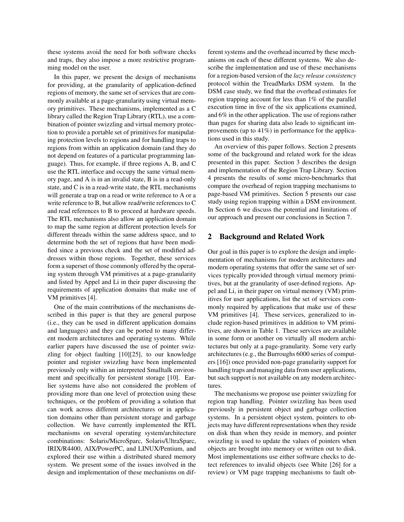these systems avoid the need for both software checks and traps, they also impose a more restrictive programming model on the user.

In this paper, we present the design of mechanisms for providing, at the granularity of application-defined regions of memory, the same set of services that are commonly available at a page-granularity using virtual memory primitives. These mechanisms, implemented as a C library called the Region Trap Library (RTL), use a combination of pointer swizzling and virtual memory protection to provide a portable set of primitives for manipulating protection levels to regions and for handling traps to regions from within an application domain (and they do not depend on features of a particular programming language). Thus, for example, if three regions A, B, and C use the RTL interface and occupy the same virtual memory page, and A is in an invalid state, B is in a read-only state, and C is in a read-write state, the RTL mechanisms will generate a trap on a read or write reference to A or a write reference to B, but allow read/write references to C and read references to B to proceed at hardware speeds. The RTL mechanisms also allow an application domain to map the same region at different protection levels for different threads within the same address space, and to determine both the set of regions that have been modified since a previous check and the set of modified addresses within those regions. Together, these services form a superset of those commonly offered by the operating system through VM primitives at a page-granularity and listed by Appel and Li in their paper discussing the requirements of application domains that make use of VM primitives [4].

One of the main contributions of the mechanisms described in this paper is that they are general purpose (i.e., they can be used in different application domains and languages) and they can be ported to many different modern architectures and operating systems. While earlier papers have discussed the use of pointer swizzling for object faulting [10][25], to our knowledge pointer and register swizzling have been implemented previously only within an interpreted Smalltalk environment and specifically for persistent storage [10]. Earlier systems have also not considered the problem of providing more than one level of protection using these techniques, or the problem of providing a solution that can work across different architectures or in application domains other than persistent storage and garbage collection. We have currently implemented the RTL mechanisms on several operating system/architecture combinations: Solaris/MicroSparc, Solaris/UltraSparc, IRIX/R4400, AIX/PowerPC, and LINUX/Pentium, and explored their use within a distributed shared memory system. We present some of the issues involved in the design and implementation of these mechanisms on different systems and the overhead incurred by these mechanisms on each of these different systems. We also describe the implementation and use of these mechanisms for a region-based version of the *lazy release consistency* protocol within the TreadMarks DSM system. In the DSM case study, we find that the overhead estimates for region trapping account for less than 1% of the parallel execution time in five of the six applications examined, and 6% in the other application. The use of regions rather than pages for sharing data also leads to significant improvements (up to 41%) in performance for the applications used in this study.

An overview of this paper follows. Section 2 presents some of the background and related work for the ideas presented in this paper. Section 3 describes the design and implementation of the Region Trap Library. Section 4 presents the results of some micro-benchmarks that compare the overhead of region trapping mechanisms to page-based VM primitives. Section 5 presents our case study using region trapping within a DSM environment. In Section 6 we discuss the potential and limitations of our approach and present our conclusions in Section 7.

# **2 Background and Related Work**

Our goal in this paper is to explore the design and implementation of mechanisms for modern architectures and modern operating systems that offer the same set of services typically provided through virtual memory primitives, but at the granularity of user-defined regions. Appel and Li, in their paper on virtual memory (VM) primitives for user applications, list the set of services commonly required by applications that make use of these VM primitives [4]. These services, generalized to include region-based primitives in addition to VM primitives, are shown in Table 1. These services are available in some form or another on virtually all modern architectures but only at a page-granularity. Some very early architectures (e.g., the Burroughs 6000 series of computers [16]) once provided non-page granularity support for handling traps and managing data from user applications, but such support is not available on any modern architectures.

The mechanisms we propose use pointer swizzling for region trap handling. Pointer swizzling has been used previously in persistent object and garbage collection systems. In a persistent object system, pointers to objects may have different representations when they reside on disk than when they reside in memory, and pointer swizzling is used to update the values of pointers when objects are brought into memory or written out to disk. Most implementations use either software checks to detect references to invalid objects (see White [26] for a review) or VM page trapping mechanisms to fault ob-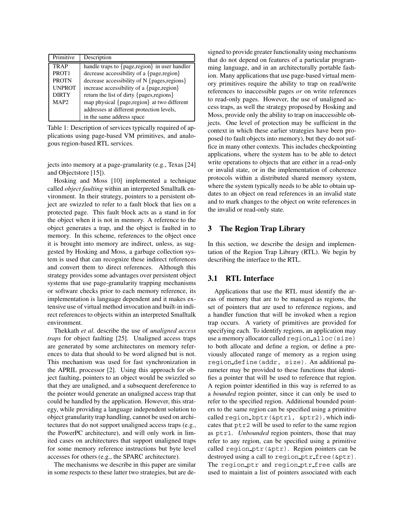| Primitive         | Description                                   |
|-------------------|-----------------------------------------------|
| TRAP              | handle traps to {page,region} in user handler |
| PROT <sub>1</sub> | decrease accessibility of a {page, region}    |
| <b>PROTN</b>      | decrease accessibility of N {pages, regions}  |
| <b>UNPROT</b>     | increase accessibility of a {page, region}    |
| <b>DIRTY</b>      | return the list of dirty {pages, regions}     |
| MAP <sub>2</sub>  | map physical {page,region} at two different   |
|                   | addresses at different protection levels,     |
|                   | in the same address space                     |

Table 1: Description of services typically required of applications using page-based VM primitives, and analogous region-based RTL services.

jects into memory at a page-granularity (e.g., Texas [24] and Objectstore [15]).

Hosking and Moss [10] implemented a technique called *object faulting* within an interpreted Smalltalk environment. In their strategy, pointers to a persistent object are swizzled to refer to a fault block that lies on a protected page. This fault block acts as a stand in for the object when it is not in memory. A reference to the object generates a trap, and the object is faulted in to memory. In this scheme, references to the object once it is brought into memory are indirect, unless, as suggested by Hosking and Moss, a garbage collection system is used that can recognize these indirect references and convert them to direct references. Although this strategy provides some advantages over persistent object systems that use page-granularity trapping mechanisms or software checks prior to each memory reference, its implementation is language dependent and it makes extensive use of virtual method invocation and built-in indirect references to objects within an interpreted Smalltalk environment.

Thekkath *et al.* describe the use of *unaligned access traps* for object faulting [25]. Unaligned access traps are generated by some architectures on memory references to data that should to be word aligned but is not. This mechanism was used for fast synchronization in the APRIL processor [2]. Using this approach for object faulting, pointers to an object would be swizzled so that they are unaligned, and a subsequent dereference to the pointer would generate an unaligned access trap that could be handled by the application. However, this strategy, while providing a language independent solution to object granularity trap handling, cannot be used on architectures that do not support unaligned access traps (e.g., the PowerPC architecture), and will only work in limited cases on architectures that support unaligned traps for some memory reference instructions but byte level accesses for others (e.g., the SPARC architecture).

The mechanisms we describe in this paper are similar in some respects to these latter two strategies, but are designed to provide greater functionality using mechanisms that do not depend on features of a particular programming language, and in an architecturally portable fashion. Many applications that use page-based virtual memory primitives require the ability to trap on read/write references to inaccessible pages *or* on write references to read-only pages. However, the use of unaligned access traps, as well the strategy proposed by Hosking and Moss, provide only the ability to trap on inaccessible objects. One level of protection may be sufficient in the context in which these earlier strategies have been proposed (to fault objects into memory), but they do not suffice in many other contexts. This includes checkpointing applications, where the system has to be able to detect write operations to objects that are either in a read-only or invalid state, or in the implementation of coherence protocols within a distributed shared memory system, where the system typically needs to be able to obtain updates to an object on read references in an invalid state and to mark changes to the object on write references in the invalid or read-only state.

# **3 The Region Trap Library**

In this section, we describe the design and implementation of the Region Trap Library (RTL). We begin by describing the interface to the RTL.

# **3.1 RTL Interface**

Applications that use the RTL must identify the areas of memory that are to be managed as regions, the set of pointers that are used to reference regions, and a handler function that will be invoked when a region trap occurs. A variety of primitives are provided for specifying each. To identify regions, an application may use a memory allocator called region alloc(size) to both allocate and define a region, or define a previously allocated range of memory as a region using region define(addr, size). An additional parameter may be provided to these functions that identifies a pointer that will be used to reference that region. A region pointer identified in this way is referred to as a *bounded* region pointer, since it can only be used to refer to the specified region. Additional bounded pointers to the same region can be specified using a primitive called region bptr(&ptr1, &ptr2), which indicates that ptr2 will be used to refer to the same region as ptr1. *Unbounded* region pointers, those that may refer to any region, can be specified using a primitive called region ptr(&ptr). Region pointers can be destroyed using a call to region ptr free(&ptr). The region ptr and region ptr free calls are used to maintain a list of pointers associated with each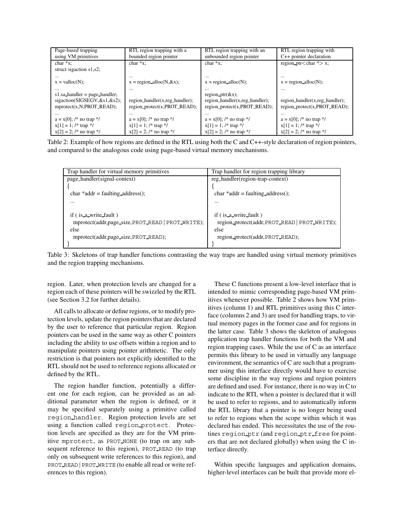| Page-based trapping             | RTL region trapping with a                  | RTL region trapping with an    | RTL region trapping with                  |
|---------------------------------|---------------------------------------------|--------------------------------|-------------------------------------------|
| using VM primitives             | bounded region pointer                      | unbounded region pointer       | C++ pointer declaration                   |
| $char *x:$                      | $char *x:$                                  | $char *x:$                     | region_ptr <char <math="">*&gt; x;</char> |
| struct sigaction s1,s2;         |                                             |                                |                                           |
|                                 | $\cdots$                                    | $\cdots$                       | $\cdots$                                  |
| $x = \text{valloc}(N)$ ;        | $x =$ region alloc(N, &x);                  | $x =$ region alloc(N);         | $x = region$ alloc(N);                    |
|                                 | $\cdots$                                    | $\cdots$                       | $\cdots$                                  |
| $s1$ sa handler = page handler; |                                             | region $ptr(&x);$              |                                           |
| sigaction(SIGSEGV, &s1, &s2);   | region_handler $(x, \text{reg\_handler})$ ; | region_handler(x,reg_handler); | region_handler(x,reg_handler);            |
| mprotect(x, N, PROT, READ);     | region protect(x,PROT READ);                | region protect(x,PROT READ);   | region_protect(x,PROT_READ);              |
|                                 | $\cdots$                                    |                                |                                           |
| $a = x[0];$ /* no trap */       | $a = x[0]$ ; /* no trap */                  | $a = x[0]$ ; /* no trap */     | $a = x[0];$ /* no trap */                 |
| $x[1] = 1$ ; /* trap */         | $x[1] = 1$ ; /* trap */                     | $x[1] = 1$ ; /* trap */        | $x[1] = 1$ ; /* trap */                   |
| $x[2] = 2$ ; /* no trap */      | $x[2] = 2$ ; /* no trap */                  | $x[2] = 2$ ; /* no trap */     | $x[2] = 2$ ; /* no trap */                |

Table 2: Example of how regions are defined in the RTL using both the C and C++-style declaration of region pointers, and compared to the analogous code using page-based virtual memory mechanisms.

| Trap handler for virtual memory primitives       | Trap handler for region trapping library      |
|--------------------------------------------------|-----------------------------------------------|
| page_handler(signal-context)                     | reg.handler(region-trap-context)              |
|                                                  |                                               |
| $char * addr = faulty; address();$               | $char * addr = faulty; address();$            |
|                                                  |                                               |
|                                                  |                                               |
| if (is a write fault)                            | if (is a write fault)                         |
| mprotect(addr,page_size,PROT_READ   PROT_WRITE); | region_protect(addr, PROT_READ   PROT_WRITE); |
| else                                             | else                                          |
| mprotect(addr,page_size,PROT_READ);              | region_protect(addr, PROT_READ);              |
|                                                  |                                               |

Table 3: Skeletons of trap handler functions contrasting the way traps are handled using virtual memory primitives and the region trapping mechanisms.

region. Later, when protection levels are changed for a region each of these pointers will be swizzled by the RTL (see Section 3.2 for further details).

All calls to allocate or define regions, or to modify protection levels, update the region pointers that are declared by the user to reference that particular region. Region pointers can be used in the same way as other C pointers including the ability to use offsets within a region and to manipulate pointers using pointer arithmetic. The only restriction is that pointers not explicitly identified to the RTL should not be used to reference regions allocated or defined by the RTL.

The region handler function, potentially a different one for each region, can be provided as an additional parameter when the region is defined, or it may be specified separately using a primitive called region handler. Region protection levels are set using a function called region protect. Protection levels are specified as they are for the VM primitive mprotect, as PROT NONE (to trap on any subsequent reference to this region), PROT READ (to trap only on subsequent write references to this region), and PROT READ|PROT WRITE (to enable all read or write references to this region).

These C functions present a low-level interface that is intended to mimic corresponding page-based VM primitives whenever possible. Table 2 shows how VM primitives (column 1) and RTL primitives using this C interface (columns 2 and 3) are used for handling traps, to virtual memory pages in the former case and for regions in the latter case. Table 3 shows the skeleton of analogous application trap handler functions for both the VM and region trapping cases. While the use of C as an interface permits this library to be used in virtually any language environment, the semantics of C are such that a programmer using this interface directly would have to exercise some discipline in the way regions and region pointers are defined and used. For instance, there is no way in C to indicate to the RTL when a pointer is declared that it will be used to refer to regions, and to automatically inform the RTL library that a pointer is no longer being used to refer to regions when the scope within which it was declared has ended. This necessitates the use of the routines region ptr (and region ptr free for pointers that are not declared globally) when using the C interface directly.

Within specific languages and application domains, higher-level interfaces can be built that provide more el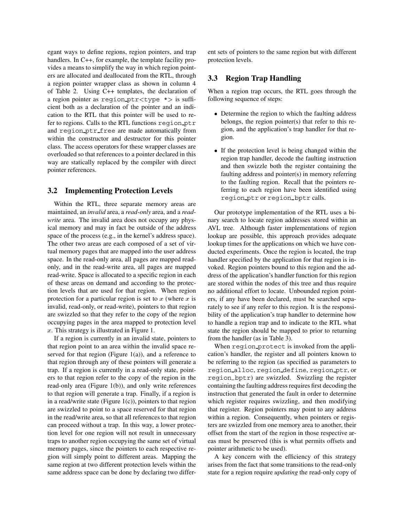egant ways to define regions, region pointers, and trap handlers. In C++, for example, the template facility provides a means to simplify the way in which region pointers are allocated and deallocated from the RTL, through a region pointer wrapper class as shown in column 4 of Table 2. Using C++ templates, the declaration of a region pointer as region ptr<type  $\star$  is sufficient both as a declaration of the pointer and an indication to the RTL that this pointer will be used to refer to regions. Calls to the RTL functions region ptr and region ptr free are made automatically from within the constructor and destructor for this pointer class. The access operators for these wrapper classes are overloaded so that references to a pointer declared in this way are statically replaced by the compiler with direct pointer references.

# **3.2 Implementing Protection Levels**

Within the RTL, three separate memory areas are maintained, an *invalid* area, a *read-only* area, and a *readwrite* area. The invalid area does not occupy any physical memory and may in fact be outside of the address space of the process (e.g., in the kernel's address space). The other two areas are each composed of a set of virtual memory pages that are mapped into the user address space. In the read-only area, all pages are mapped readonly, and in the read-write area, all pages are mapped read-write. Space is allocated to a specific region in each of these areas on demand and according to the protection levels that are used for that region. When region protection for a particular region is set to  $x$  (where  $x$  is invalid, read-only, or read-write), pointers to that region are swizzled so that they refer to the copy of the region occupying pages in the area mapped to protection level <sup>x</sup>. This strategy is illustrated in Figure 1.

If a region is currently in an invalid state, pointers to that region point to an area within the invalid space reserved for that region (Figure 1(a)), and a reference to that region through any of these pointers will generate a trap. If a region is currently in a read-only state, pointers to that region refer to the copy of the region in the read-only area (Figure 1(b)), and only write references to that region will generate a trap. Finally, if a region is in a read/write state (Figure  $1(c)$ ), pointers to that region are swizzled to point to a space reserved for that region in the read/write area, so that all references to that region can proceed without a trap. In this way, a lower protection level for one region will not result in unnecessary traps to another region occupying the same set of virtual memory pages, since the pointers to each respective region will simply point to different areas. Mapping the same region at two different protection levels within the same address space can be done by declaring two different sets of pointers to the same region but with different protection levels.

# **3.3 Region Trap Handling**

When a region trap occurs, the RTL goes through the following sequence of steps:

- Determine the region to which the faulting address belongs, the region pointer(s) that refer to this region, and the application's trap handler for that region.
- If the protection level is being changed within the region trap handler, decode the faulting instruction and then swizzle both the register containing the faulting address and pointer(s) in memory referring to the faulting region. Recall that the pointers referring to each region have been identified using region ptr or region bptr calls.

Our prototype implementation of the RTL uses a binary search to locate region addresses stored within an AVL tree. Although faster implementations of region lookup are possible, this approach provides adequate lookup times for the applications on which we have conducted experiments. Once the region is located, the trap handler specified by the application for that region is invoked. Region pointers bound to this region and the address of the application's handler function for this region are stored within the nodes of this tree and thus require no additional effort to locate. Unbounded region pointers, if any have been declared, must be searched separately to see if any refer to this region. It is the responsibility of the application's trap handler to determine how to handle a region trap and to indicate to the RTL what state the region should be mapped to prior to returning from the handler (as in Table 3).

When region protect is invoked from the application's handler, the register and all pointers known to be referring to the region (as specified as parameters to region alloc, region define, region ptr, or region bptr) are swizzled. Swizzling the register containing the faulting address requires first decoding the instruction that generated the fault in order to determine which register requires swizzling, and then modifying that register. Region pointers may point to any address within a region. Consequently, when pointers or registers are swizzled from one memory area to another, their offset from the start of the region in those respective areas must be preserved (this is what permits offsets and pointer arithmetic to be used).

A key concern with the efficiency of this strategy arises from the fact that some transitions to the read-only state for a region require *updating* the read-only copy of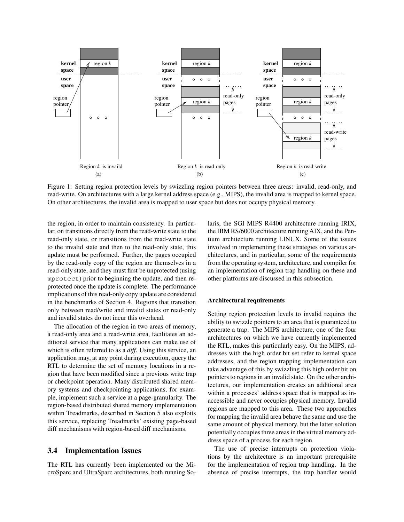

Figure 1: Setting region protection levels by swizzling region pointers between three areas: invalid, read-only, and read-write. On architectures with a large kernel address space (e.g., MIPS), the invalid area is mapped to kernel space. On other architectures, the invalid area is mapped to user space but does not occupy physical memory.

the region, in order to maintain consistency. In particular, on transitions directly from the read-write state to the read-only state, or transitions from the read-write state to the invalid state and then to the read-only state, this update must be performed. Further, the pages occupied by the read-only copy of the region are themselves in a read-only state, and they must first be unprotected (using mprotect) prior to beginning the update, and then reprotected once the update is complete. The performance implications of this read-only copy update are considered in the benchmarks of Section 4. Regions that transition only between read/write and invalid states or read-only and invalid states do not incur this overhead.

The allocation of the region in two areas of memory, a read-only area and a read-write area, facilitates an additional service that many applications can make use of which is often referred to as a *diff*. Using this service, an application may, at any point during execution, query the RTL to determine the set of memory locations in a region that have been modified since a previous write trap or checkpoint operation. Many distributed shared memory systems and checkpointing applications, for example, implement such a service at a page-granularity. The region-based distributed shared memory implementation within Treadmarks, described in Section 5 also exploits this service, replacing Treadmarks' existing page-based diff mechanisms with region-based diff mechanisms.

# **3.4 Implementation Issues**

The RTL has currently been implemented on the MicroSparc and UltraSparc architectures, both running Solaris, the SGI MIPS R4400 architecture running IRIX, the IBM RS/6000 architecture running AIX, and the Pentium architecture running LINUX. Some of the issues involved in implementing these strategies on various architectures, and in particular, some of the requirements from the operating system, architecture, and compiler for an implementation of region trap handling on these and other platforms are discussed in this subsection.

#### **Architectural requirements**

Setting region protection levels to invalid requires the ability to swizzle pointers to an area that is guaranteed to generate a trap. The MIPS architecture, one of the four architectures on which we have currently implemented the RTL, makes this particularly easy. On the MIPS, addresses with the high order bit set refer to kernel space addresses, and the region trapping implementation can take advantage of this by swizzling this high order bit on pointers to regions in an invalid state. On the other architectures, our implementation creates an additional area within a processes' address space that is mapped as inaccessible and never occupies physical memory. Invalid regions are mapped to this area. These two approaches for mapping the invalid area behave the same and use the same amount of physical memory, but the latter solution potentially occupies three areas in the virtual memory address space of a process for each region.

The use of precise interrupts on protection violations by the architecture is an important prerequisite for the implementation of region trap handling. In the absence of precise interrupts, the trap handler would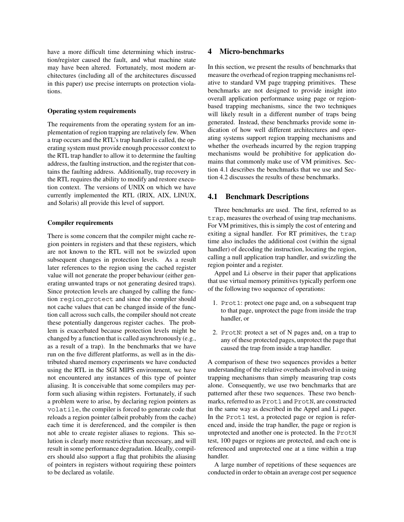have a more difficult time determining which instruction/register caused the fault, and what machine state may have been altered. Fortunately, most modern architectures (including all of the architectures discussed in this paper) use precise interrupts on protection violations.

#### **Operating system requirements**

The requirements from the operating system for an implementation of region trapping are relatively few. When a trap occurs and the RTL's trap handler is called, the operating system must provide enough processor context to the RTL trap handler to allow it to determine the faulting address, the faulting instruction, and the register that contains the faulting address. Additionally, trap recovery in the RTL requires the ability to modify and restore execution context. The versions of UNIX on which we have currently implemented the RTL (IRIX, AIX, LINUX, and Solaris) all provide this level of support.

#### **Compiler requirements**

There is some concern that the compiler might cache region pointers in registers and that these registers, which are not known to the RTL will not be swizzled upon subsequent changes in protection levels. As a result later references to the region using the cached register value will not generate the proper behaviour (either generating unwanted traps or not generating desired traps). Since protection levels are changed by calling the function region protect and since the compiler should not cache values that can be changed inside of the function call across such calls, the compiler should not create these potentially dangerous register caches. The problem is exacerbated because protection levels might be changed by a function that is called asynchronously (e.g., as a result of a trap). In the benchmarks that we have run on the five different platforms, as well as in the distributed shared memory experiments we have conducted using the RTL in the SGI MIPS environment, we have not encountered any instances of this type of pointer aliasing. It is conceivable that some compilers may perform such aliasing within registers. Fortunately, if such a problem were to arise, by declaring region pointers as volatile, the compiler is forced to generate code that reloads a region pointer (albeit probably from the cache) each time it is dereferenced, and the compiler is then not able to create register aliases to regions. This solution is clearly more restrictive than necessary, and will result in some performance degradation. Ideally, compilers should also support a flag that prohibits the aliasing of pointers in registers without requiring these pointers to be declared as volatile.

# **4 Micro-benchmarks**

In this section, we present the results of benchmarks that measure the overhead of region trapping mechanisms relative to standard VM page trapping primitives. These benchmarks are not designed to provide insight into overall application performance using page or regionbased trapping mechanisms, since the two techniques will likely result in a different number of traps being generated. Instead, these benchmarks provide some indication of how well different architectures and operating systems support region trapping mechanisms and whether the overheads incurred by the region trapping mechanisms would be prohibitive for application domains that commonly make use of VM primitives. Section 4.1 describes the benchmarks that we use and Section 4.2 discusses the results of these benchmarks.

#### **4.1 Benchmark Descriptions**

Three benchmarks are used. The first, referred to as trap, measures the overhead of using trap mechanisms. For VM primitives, this is simply the cost of entering and exiting a signal handler. For RT primitives, the trap time also includes the additional cost (within the signal handler) of decoding the instruction, locating the region, calling a null application trap handler, and swizzling the region pointer and a register.

Appel and Li observe in their paper that applications that use virtual memory primitives typically perform one of the following two sequence of operations:

- 1. Prot1: protect one page and, on a subsequent trap to that page, unprotect the page from inside the trap handler, or
- 2. ProtN: protect a set of N pages and, on a trap to any of these protected pages, unprotect the page that caused the trap from inside a trap handler.

A comparison of these two sequences provides a better understanding of the relative overheads involved in using trapping mechanisms than simply measuring trap costs alone. Consequently, we use two benchmarks that are patterned after these two sequences. These two benchmarks, referred to as Prot1 and ProtN, are constructed in the same way as described in the Appel and Li paper. In the Prot1 test, a protected page or region is referenced and, inside the trap handler, the page or region is unprotected and another one is protected. In the ProtN test, 100 pages or regions are protected, and each one is referenced and unprotected one at a time within a trap handler.

A large number of repetitions of these sequences are conducted in order to obtain an average cost per sequence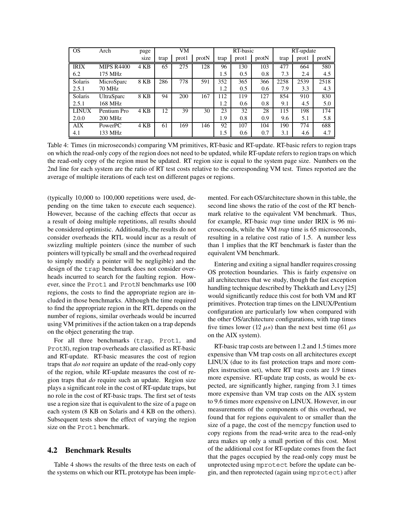| <b>OS</b>    | Arch              | page | VM   |       | RT-basic |      | RT-update |       |      |       |       |
|--------------|-------------------|------|------|-------|----------|------|-----------|-------|------|-------|-------|
|              |                   | size | trap | prot1 | protN    | trap | prot1     | protN | trap | prot1 | protN |
| <b>IRIX</b>  | <b>MIPS R4400</b> | 4 KB | 65   | 275   | 128      | 96   | 130       | 103   | 477  | 664   | 580   |
| 6.2          | 175 MHz           |      |      |       |          | 1.5  | 0.5       | 0.8   | 7.3  | 2.4   | 4.5   |
| Solaris      | MicroSparc        | 8 KB | 286  | 778   | 591      | 352  | 365       | 366   | 2258 | 2539  | 2518  |
| 2.5.1        | <b>70 MHz</b>     |      |      |       |          | 1.2  | 0.5       | 0.6   | 7.9  | 3.3   | 4.3   |
| Solaris      | <b>UltraSparc</b> | 8 KB | 94   | 200   | 167      | 112  | 119       | 127   | 854  | 910   | 830   |
| 2.5.1        | 168 MHz           |      |      |       |          | 1.2  | 0.6       | 0.8   | 9.1  | 4.5   | 5.0   |
| <b>LINUX</b> | Pentium Pro       | 4 KB | 12   | 39    | 30       | 23   | 32        | 28    | 115  | 198   | 174   |
| 2.0.0        | 200 MHz           |      |      |       |          | 1.9  | 0.8       | 0.9   | 9.6  | 5.1   | 5.8   |
| AIX          | <b>PowerPC</b>    | 4 KB | 61   | 169   | 146      | 92   | 107       | 104   | 190  | 774   | 688   |
| 4.1          | 133 MHz           |      |      |       |          | 1.5  | 0.6       | 0.7   | 3.1  | 4.6   | 4.7   |

Table 4: Times (in microseconds) comparing VM primitives, RT-basic and RT-update. RT-basic refers to region traps on which the read-only copy of the region does not need to be updated, while RT-update refers to region traps on which the read-only copy of the region must be updated. RT region size is equal to the system page size. Numbers on the 2nd line for each system are the ratio of RT test costs relative to the corresponding VM test. Times reported are the average of multiple iterations of each test on different pages or regions.

(typically 10,000 to 100,000 repetitions were used, depending on the time taken to execute each sequence). However, because of the caching effects that occur as a result of doing multiple repetitions, all results should be considered optimistic. Additionally, the results do not consider overheads the RTL would incur as a result of swizzling multiple pointers (since the number of such pointers will typically be small and the overhead required to simply modify a pointer will be negligible) and the design of the trap benchmark does not consider overheads incurred to search for the faulting region. However, since the Prot1 and ProtN benchmarks use 100 regions, the costs to find the appropriate region are included in those benchmarks. Although the time required to find the appropriate region in the RTL depends on the number of regions, similar overheads would be incurred using VM primitives if the action taken on a trap depends on the object generating the trap.

For all three benchmarks (trap, Prot1, and ProtN), region trap overheads are classified as RT-basic and RT-update. RT-basic measures the cost of region traps that *do not* require an update of the read-only copy of the region, while RT-update measures the cost of region traps that *do* require such an update. Region size plays a significant role in the cost of RT-update traps, but no role in the cost of RT-basic traps. The first set of tests use a region size that is equivalent to the size of a page on each system (8 KB on Solaris and 4 KB on the others). Subsequent tests show the effect of varying the region size on the Prot1 benchmark.

# **4.2 Benchmark Results**

Table 4 shows the results of the three tests on each of the systems on which our RTL prototype has been implemented. For each OS/architecture shown in this table, the second line shows the ratio of the cost of the RT benchmark relative to the equivalent VM benchmark. Thus, for example, RT-basic *trap* time under IRIX is 96 microseconds, while the VM *trap* time is 65 microseconds, resulting in a relative cost ratio of 1.5. A number less than 1 implies that the RT benchmark is faster than the equivalent VM benchmark.

Entering and exiting a signal handler requires crossing OS protection boundaries. This is fairly expensive on all architectures that we study, though the fast exception handling technique described by Thekkath and Levy [25] would significantly reduce this cost for both VM and RT primitives. Protection trap times on the LINUX/Pentium configuration are particularly low when compared with the other OS/architecture configurations, with trap times five times lower (12  $\mu$ s) than the next best time (61  $\mu$ s on the AIX system).

RT-basic trap costs are between 1.2 and 1.5 times more expensive than VM trap costs on all architectures except LINUX (due to its fast protection traps and more complex instruction set), where RT trap costs are 1.9 times more expensive. RT-update trap costs, as would be expected, are significantly higher, ranging from 3.1 times more expensive than VM trap costs on the AIX system to 9.6 times more expensive on LINUX. However, in our measurements of the components of this overhead, we found that for regions equivalent to or smaller than the size of a page, the cost of the memcpy function used to copy regions from the read-write area to the read-only area makes up only a small portion of this cost. Most of the additional cost for RT-update comes from the fact that the pages occupied by the read-only copy must be unprotected using mprotect before the update can begin, and then reprotected (again using mprotect) after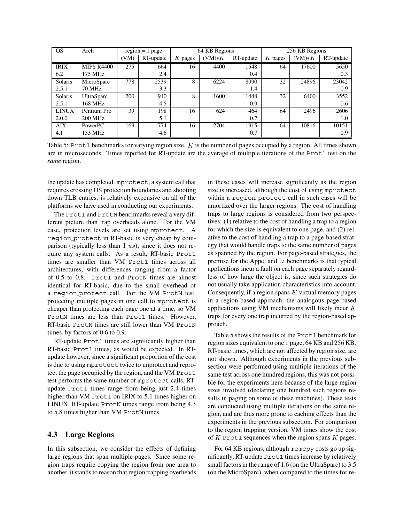| <b>OS</b>    | Arch              | $region = 1 page$ |           | 64 KB Regions |          |           | 256 KB Regions |          |           |
|--------------|-------------------|-------------------|-----------|---------------|----------|-----------|----------------|----------|-----------|
|              |                   | VM)               | RT-update | $K$ pages     | $(VM)*K$ | RT-update | $K$ pages      | $(NM)*K$ | RT-update |
| <b>IRIX</b>  | <b>MIPS R4400</b> | 275               | 664       | 16            | 4400     | 1548      | 64             | 17600    | 5650      |
| 6.2          | 175 MHz           |                   | 2.4       |               |          | 0.4       |                |          | 0.3       |
| Solaris      | MicroSparc        | 778               | 2539      | 8             | 6224     | 8990      | 32             | 24896    | 23042     |
| 2.5.1        | <b>70 MHz</b>     |                   | 3.3       |               |          | 1.4       |                |          | 0.9       |
| Solaris      | <b>UltraSparc</b> | 200               | 910       | 8             | 1600     | 1448      | 32             | 6400     | 3552      |
| 2.5.1        | 168 MHz           |                   | 4.5       |               |          | 0.9       |                |          | 0.6       |
| <b>LINUX</b> | Pentium Pro       | 39                | 198       | 16            | 624      | 464       | 64             | 2496     | 2606      |
| 2.0.0        | <b>200 MHz</b>    |                   | 5.1       |               |          | 0.7       |                |          | 1.0       |
| <b>AIX</b>   | PowerPC           | 169               | 774       | 16            | 2704     | 1915      | 64             | 10816    | 10151     |
| 4.1          | 133 MHz           |                   | 4.6       |               |          | 0.7       |                |          | 0.9       |

Table 5: Prot1 benchmarks for varying region size. K is the number of pages occupied by a region. All times shown are in microseconds. Times reported for RT-update are the average of multiple iterations of the Prot1 test on the *same* region.

the update has completed. mprotect, a system call that requires crossing OS protection boundaries and shooting down TLB entries, is relatively expensive on all of the platforms we have used in conducting our experiments.

The Prot1 and ProtN benchmarks reveal a very different picture than trap overheads alone. For the VM case, protection levels are set using mprotect. A region protect in RT-basic is very cheap by comparison (typically less than  $1 \, \text{us}$ ), since it does not require any system calls. As a result, RT-basic Prot1 times are smaller than VM Prot1 times across all architectures, with differences ranging from a factor of 0.5 to 0.8. Prot1 and ProtN times are almost identical for RT-basic, due to the small overhead of a region protect call. For the VM ProtN test, protecting multiple pages in one call to mprotect is cheaper than protecting each page one at a time, so VM ProtN times are less than Prot1 times. However, RT-basic ProtN times are still lower than VM ProtN times, by factors of 0.6 to 0.9.

RT-update Prot1 times are significantly higher than RT-basic Prot1 times, as would be expected. In RTupdate however, since a significant proportion of the cost is due to using mprotect twice to unprotect and reprotect the page occupied by the region, and the VM Prot1 test performs the same number of mprotect calls, RTupdate Prot1 times range from being just 2.4 times higher than VM Prot1 on IRIX to 5.1 times higher on LINUX. RT-update ProtN times range from being 4.3 to 5.8 times higher than VM ProtN times.

# **4.3 Large Regions**

In this subsection, we consider the effects of defining large regions that span multiple pages. Since some region traps require copying the region from one area to another, it stands to reason that region trapping overheads in these cases will increase significantly as the region size is increased, although the cost of using mprotect within a region protect call in such cases will be amortized over the larger regions. The cost of handling traps to large regions is considered from two perspectives: (1) relative to the cost of handling a trap to a region for which the size is equivalent to one page, and (2) relative to the cost of handling a trap to a page-based strategy that would handle traps to the same number of pages as spanned by the region. For page-based strategies, the premise for the Appel and Li benchmarks is that typical applications incur a fault on each page separately regardless of how large the object is, since such strategies do not usually take application characteristics into account. Consequently, if a region spans  $K$  virtual memory pages in a region-based approach, the analogous page-based applications using VM mechanisms will likely incur <sup>K</sup> traps for every one trap incurred by the region-based approach.

Table 5 shows the results of the Prot 1 benchmark for region sizes equivalent to one 1 page, 64 KB and 256 KB. RT-basic times, which are not affected by region size, are not shown. Although experiments in the previous subsection were performed using multiple iterations of the same test across one hundred regions, this was not possible for the experiments here because of the large region sizes involved (declaring one hundred such regions results in paging on some of these machines). These tests are conducted using multiple iterations on the same region, and are thus more prone to caching effects than the experiments in the previous subsection. For comparison to the region trapping version, VM times show the cost of  $K$  Prot1 sequences when the region spans  $K$  pages.

For 64 KB regions, although memcpy costs go up significantly, RT-update Prot1 times increase by relatively small factors in the range of 1.6 (on the UltraSparc) to 3.5 (on the MicroSparc), when compared to the times for re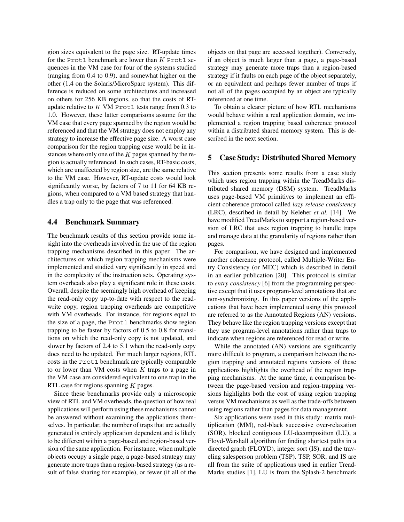gion sizes equivalent to the page size. RT-update times for the Prot1 benchmark are lower than  $K$  Prot1 sequences in the VM case for four of the systems studied (ranging from 0.4 to 0.9), and somewhat higher on the other (1.4 on the Solaris/MicroSparc system). This difference is reduced on some architectures and increased on others for 256 KB regions, so that the costs of RTupdate relative to  $K$  VM Prot1 tests range from 0.3 to 1.0. However, these latter comparisons assume for the VM case that every page spanned by the region would be referenced and that the VM strategy does not employ any strategy to increase the effective page size. A worst case comparison for the region trapping case would be in instances where only one of the  $K$  pages spanned by the region is actually referenced. In such cases, RT-basic costs, which are unaffected by region size, are the same relative to the VM case. However, RT-update costs would look significantly worse, by factors of 7 to 11 for 64 KB regions, when compared to a VM based strategy that handles a trap only to the page that was referenced.

#### **4.4 Benchmark Summary**

The benchmark results of this section provide some insight into the overheads involved in the use of the region trapping mechanisms described in this paper. The architectures on which region trapping mechanisms were implemented and studied vary significantly in speed and in the complexity of the instruction sets. Operating system overheads also play a significant role in these costs. Overall, despite the seemingly high overhead of keeping the read-only copy up-to-date with respect to the readwrite copy, region trapping overheads are competitive with VM overheads. For instance, for regions equal to the size of a page, the Prot1 benchmarks show region trapping to be faster by factors of 0.5 to 0.8 for transitions on which the read-only copy is not updated, and slower by factors of 2.4 to 5.1 when the read-only copy does need to be updated. For much larger regions, RTL costs in the Prot1 benchmark are typically comparable to or lower than VM costs when  $K$  traps to a page in the VM case are considered equivalent to one trap in the RTL case for regions spanning  $K$  pages.

Since these benchmarks provide only a microscopic view of RTL and VM overheads, the question of how real applications will perform using these mechanisms cannot be answered without examining the applications themselves. In particular, the number of traps that are actually generated is entirely application dependent and is likely to be different within a page-based and region-based version of the same application. For instance, when multiple objects occupy a single page, a page-based strategy may generate more traps than a region-based strategy (as a result of false sharing for example), or fewer (if all of the objects on that page are accessed together). Conversely, if an object is much larger than a page, a page-based strategy may generate more traps than a region-based strategy if it faults on each page of the object separately, or an equivalent and perhaps fewer number of traps if not all of the pages occupied by an object are typically referenced at one time.

To obtain a clearer picture of how RTL mechanisms would behave within a real application domain, we implemented a region trapping based coherence protocol within a distributed shared memory system. This is described in the next section.

#### **5 Case Study: Distributed Shared Memory**

This section presents some results from a case study which uses region trapping within the TreadMarks distributed shared memory (DSM) system. TreadMarks uses page-based VM primitives to implement an efficient coherence protocol called *lazy release consistency* (LRC), described in detail by Keleher *et al.* [14]. We have modified TreadMarks to support a region-based version of LRC that uses region trapping to handle traps and manage data at the granularity of regions rather than pages.

For comparison, we have designed and implemented another coherence protocol, called Multiple-Writer Entry Consistency (or MEC) which is described in detail in an earlier publication [20]. This protocol is similar to *entry consistency* [6] from the programming perspective except that it uses program-level annotations that are non-synchronizing. In this paper versions of the applications that have been implemented using this protocol are referred to as the Annotated Regions (AN) versions. They behave like the region trapping versions except that they use program-level annotations rather than traps to indicate when regions are referenced for read or write.

While the annotated (AN) versions are significantly more difficult to program, a comparison between the region trapping and annotated regions versions of these applications highlights the overhead of the region trapping mechanisms. At the same time, a comparison between the page-based version and region-trapping versions highlights both the cost of using region trapping versus VM mechanisms as well as the trade-offs between using regions rather than pages for data management.

Six applications were used in this study: matrix multiplication (MM), red-black successive over-relaxation (SOR), blocked contiguous LU-decomposition (LU), a Floyd-Warshall algorithm for finding shortest paths in a directed graph (FLOYD), integer sort (IS), and the traveling salesperson problem (TSP). TSP, SOR, and IS are all from the suite of applications used in earlier Tread-Marks studies [1], LU is from the Splash-2 benchmark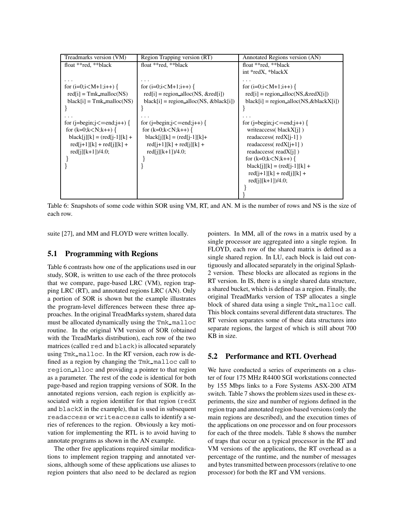| Treadmarks version (VM)                                                                                                                                                                                                                                            | Region Trapping version (RT)                                                                                                                                                                                                                                               | Annotated Regions version (AN)                                                                                                                                                                                                                                                                                                                                                                                 |
|--------------------------------------------------------------------------------------------------------------------------------------------------------------------------------------------------------------------------------------------------------------------|----------------------------------------------------------------------------------------------------------------------------------------------------------------------------------------------------------------------------------------------------------------------------|----------------------------------------------------------------------------------------------------------------------------------------------------------------------------------------------------------------------------------------------------------------------------------------------------------------------------------------------------------------------------------------------------------------|
| float **red, **black                                                                                                                                                                                                                                               | float **red, **black                                                                                                                                                                                                                                                       | float **red, **black                                                                                                                                                                                                                                                                                                                                                                                           |
|                                                                                                                                                                                                                                                                    |                                                                                                                                                                                                                                                                            | int *redX, *blackX                                                                                                                                                                                                                                                                                                                                                                                             |
| for $(i=0; i < M+1; i++)$ {<br>$\text{red}[i] = \text{Tmk\_malloc}(NS)$<br>$black[i] = Tmk_malloc(NS)$<br>for $(i=begin;i>l=end;i++)$ {<br>for $(k=0; k < N; k++)$ {<br>$black[i][k] = (red[i-1][k] +$<br>$red[i+1][k] + red[i][k] +$<br>$\text{red}[i][k+1]/4.0;$ | for $(i=0; i < M+1; i++)$ {<br>$\text{red}[i]$ = region_alloc(NS, & red[i])<br>$black[i]$ = region_alloc(NS, & black[i])<br>for $(i=begin;i=end;i++)$ {<br>for $(k=0; k < N; k++)$ {<br>$black[i][k] = (red[i-1][k]+$<br>$red[i+1][k] + red[i][k] +$<br>$red[i][k+1]/4.0;$ | for $(i=0;i< M+1;i++)$ {<br>$red[i]$ = region_alloc(NS, & redX[i])<br>$black[i]$ = region_alloc(NS, & black X[i])<br>for $(j=begin; j<=end; j++)$ {<br>write access (blackX[j])<br>readaccess( $redX[i-1]$ )<br>readaccess( $redX[i+1]$ )<br>readaccess( $realX[i]$ )<br>for $(k=0; k < N; k++)$ {<br>$black[i][k] = (red[i-1][k] +$<br>$\text{red}[i+1][k] + \text{red}[i][k] +$<br>$\text{red}[i][k+1]/4.0;$ |
|                                                                                                                                                                                                                                                                    |                                                                                                                                                                                                                                                                            |                                                                                                                                                                                                                                                                                                                                                                                                                |

Table 6: Snapshots of some code within SOR using VM, RT, and AN. M is the number of rows and NS is the size of each row.

suite [27], and MM and FLOYD were written locally.

# **5.1 Programming with Regions**

Table 6 contrasts how one of the applications used in our study, SOR, is written to use each of the three protocols that we compare, page-based LRC (VM), region trapping LRC (RT), and annotated regions LRC (AN). Only a portion of SOR is shown but the example illustrates the program-level differences between these three approaches. In the original TreadMarks system, shared data must be allocated dynamically using the Tmk\_malloc routine. In the original VM version of SOR (obtained with the TreadMarks distribution), each row of the two matrices (called red and black) is allocated separately using Tmk malloc. In the RT version, each row is defined as a region by changing the Tmk\_malloc call to region alloc and providing a pointer to that region as a parameter. The rest of the code is identical for both page-based and region trapping versions of SOR. In the annotated regions version, each region is explicitly associated with a region identifier for that region (redX and blackX in the example), that is used in subsequent readaccess or writeaccess calls to identify a series of references to the region. Obviously a key motivation for implementing the RTL is to avoid having to annotate programs as shown in the AN example.

The other five applications required similar modifications to implement region trapping and annotated versions, although some of these applications use aliases to region pointers that also need to be declared as region pointers. In MM, all of the rows in a matrix used by a single processor are aggregated into a single region. In FLOYD, each row of the shared matrix is defined as a single shared region. In LU, each block is laid out contiguously and allocated separately in the original Splash-2 version. These blocks are allocated as regions in the RT version. In IS, there is a single shared data structure, a shared bucket, which is defined as a region. Finally, the original TreadMarks version of TSP allocates a single block of shared data using a single Tmk malloc call. This block contains several different data structures. The RT version separates some of these data structures into separate regions, the largest of which is still about 700 KB in size.

#### **5.2 Performance and RTL Overhead**

We have conducted a series of experiments on a cluster of four 175 MHz R4400 SGI workstations connected by 155 Mbps links to a Fore Systems ASX-200 ATM switch. Table 7 shows the problem sizes used in these experiments, the size and number of regions defined in the region trap and annotated region-based versions (only the main regions are described), and the execution times of the applications on one processor and on four processors for each of the three models. Table 8 shows the number of traps that occur on a typical processor in the RT and VM versions of the applications, the RT overhead as a percentage of the runtime, and the number of messages and bytes transmitted between processors (relative to one processor) for both the RT and VM versions.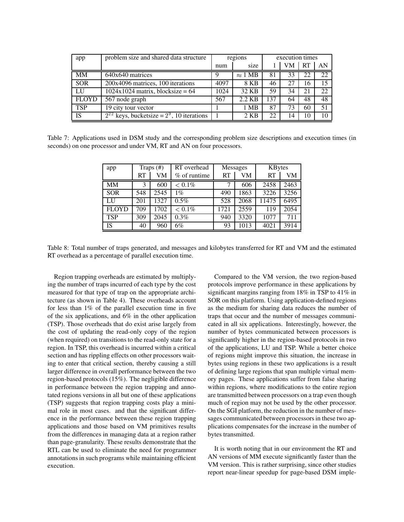| app          | problem size and shared data structure            | regions |                        | execution times |    |           |    |
|--------------|---------------------------------------------------|---------|------------------------|-----------------|----|-----------|----|
|              |                                                   | num     | size                   |                 | VM | <b>RT</b> | AN |
| <b>MM</b>    | 640x640 matrices                                  | Q       | $\approx 1 \text{ MB}$ | 81              | 33 | 22        | 22 |
| <b>SOR</b>   | 200x4096 matrices, 100 iterations                 | 4097    | 8 KB                   | 46              | 27 | 16        | 15 |
| LU           | $1024x1024$ matrix, blocksize = 64                | 1024    | 32 KB                  | 59              | 34 | 21        | 22 |
| <b>FLOYD</b> | 567 node graph                                    | 567     | 2.2 KB                 | 137             | 64 | 48        | 48 |
| <b>TSP</b>   | 19 city tour vector                               |         | 1 MB                   | 87              | 73 | 60        | 51 |
| <b>IS</b>    | $2^{22}$ keys, bucketsize = $2^9$ , 10 iterations |         | 2 KB                   | 22              | 14 | 10        | 10 |

Table 7: Applications used in DSM study and the corresponding problem size descriptions and execution times (in seconds) on one processor and under VM, RT and AN on four processors.

| app          | Traps $(\#)$ |      | RT overhead  | Messages |      | KBytes |      |
|--------------|--------------|------|--------------|----------|------|--------|------|
|              | RT           | VM   | % of runtime | RT       | VM   | RT     | VM   |
| <b>MM</b>    | 3            | 600  | $< 0.1\%$    |          | 606  | 2458   | 2463 |
| <b>SOR</b>   | 548          | 2545 | $1\%$        | 490      | 1863 | 3226   | 3256 |
| LU           | 201          | 1327 | 0.5%         | 528      | 2068 | 11475  | 6495 |
| <b>FLOYD</b> | 709          | 1702 | $< 0.1\%$    | 1721     | 2559 | 119    | 2054 |
| <b>TSP</b>   | 309          | 2045 | 0.3%         | 940      | 3320 | 1077   | 711  |
| IS           | 40           | 960  | 6%           | 93       | 1013 | 4021   | 3914 |

Table 8: Total number of traps generated, and messages and kilobytes transferred for RT and VM and the estimated RT overhead as a percentage of parallel execution time.

Region trapping overheads are estimated by multiplying the number of traps incurred of each type by the cost measured for that type of trap on the appropriate architecture (as shown in Table 4). These overheads account for less than 1% of the parallel execution time in five of the six applications, and 6% in the other application (TSP). Those overheads that do exist arise largely from the cost of updating the read-only copy of the region (when required) on transitions to the read-only state for a region. In TSP, this overhead is incurred within a critical section and has rippling effects on other processors waiting to enter that critical section, thereby causing a still larger difference in overall performance between the two region-based protocols (15%). The negligible difference in performance between the region trapping and annotated regions versions in all but one of these applications (TSP) suggests that region trapping costs play a minimal role in most cases. and that the significant difference in the performance between these region trapping applications and those based on VM primitives results from the differences in managing data at a region rather than page-granularity. These results demonstrate that the RTL can be used to eliminate the need for programmer annotations in such programs while maintaining efficient execution.

Compared to the VM version, the two region-based protocols improve performance in these applications by significant margins ranging from 18% in TSP to 41% in SOR on this platform. Using application-defined regions as the medium for sharing data reduces the number of traps that occur and the number of messages communicated in all six applications. Interestingly, however, the number of bytes communicated between processors is significantly higher in the region-based protocols in two of the applications, LU and TSP. While a better choice of regions might improve this situation, the increase in bytes using regions in these two applications is a result of defining large regions that span multiple virtual memory pages. These applications suffer from false sharing within regions, where modifications to the entire region are transmitted between processors on a trap even though much of region may not be used by the other processor. On the SGI platform, the reduction in the number of messages communicated between processors in these two applications compensates for the increase in the number of bytes transmitted.

It is worth noting that in our environment the RT and AN versions of MM execute significantly faster than the VM version. This is rather surprising, since other studies report near-linear speedup for page-based DSM imple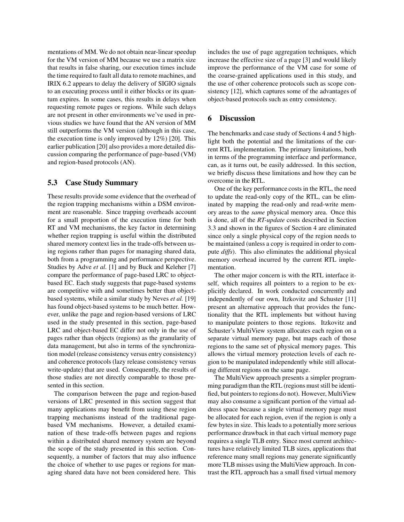mentations of MM. We do not obtain near-linear speedup for the VM version of MM because we use a matrix size that results in false sharing, our execution times include the time required to fault all data to remote machines, and IRIX 6.2 appears to delay the delivery of SIGIO signals to an executing process until it either blocks or its quantum expires. In some cases, this results in delays when requesting remote pages or regions. While such delays are not present in other environments we've used in previous studies we have found that the AN version of MM still outperforms the VM version (although in this case, the execution time is only improved by 12%) [20]. This earlier publication [20] also provides a more detailed discussion comparing the performance of page-based (VM) and region-based protocols (AN).

# **5.3 Case Study Summary**

These results provide some evidence that the overhead of the region trapping mechanisms within a DSM environment are reasonable. Since trapping overheads account for a small proportion of the execution time for both RT and VM mechanisms, the key factor in determining whether region trapping is useful within the distributed shared memory context lies in the trade-offs between using regions rather than pages for managing shared data, both from a programming and performance perspective. Studies by Adve *et al.* [1] and by Buck and Keleher [7] compare the performance of page-based LRC to objectbased EC. Each study suggests that page-based systems are competitive with and sometimes better than objectbased systems, while a similar study by Neves *et al.* [19] has found object-based systems to be much better. However, unlike the page and region-based versions of LRC used in the study presented in this section, page-based LRC and object-based EC differ not only in the use of pages rather than objects (regions) as the granularity of data management, but also in terms of the synchronization model (release consistency versus entry consistency) and coherence protocols (lazy release consistency versus write-update) that are used. Consequently, the results of those studies are not directly comparable to those presented in this section.

The comparison between the page and region-based versions of LRC presented in this section suggest that many applications may benefit from using these region trapping mechanisms instead of the traditional pagebased VM mechanisms. However, a detailed examination of these trade-offs between pages and regions within a distributed shared memory system are beyond the scope of the study presented in this section. Consequently, a number of factors that may also influence the choice of whether to use pages or regions for managing shared data have not been considered here. This includes the use of page aggregation techniques, which increase the effective size of a page [3] and would likely improve the performance of the VM case for some of the coarse-grained applications used in this study, and the use of other coherence protocols such as scope consistency [12], which captures some of the advantages of object-based protocols such as entry consistency.

# **6 Discussion**

The benchmarks and case study of Sections 4 and 5 highlight both the potential and the limitations of the current RTL implementation. The primary limitations, both in terms of the programming interface and performance, can, as it turns out, be easily addressed. In this section, we briefly discuss these limitations and how they can be overcome in the RTL.

One of the key performance costs in the RTL, the need to update the read-only copy of the RTL, can be eliminated by mapping the read-only and read-write memory areas to the *same* physical memory area. Once this is done, all of the *RT-update* costs described in Section 3.3 and shown in the figures of Section 4 are eliminated since only a single physical copy of the region needs to be maintained (unless a copy is required in order to compute *diffs*). This also eliminates the additional physical memory overhead incurred by the current RTL implementation.

The other major concern is with the RTL interface itself, which requires all pointers to a region to be explicitly declared. In work conducted concurrently and independently of our own, Itzkovitz and Schuster [11] present an alternative approach that provides the functionality that the RTL implements but without having to manipulate pointers to those regions. Itzkovitz and Schuster's MultiView system allocates each region on a separate virtual memory page, but maps each of those regions to the same set of physical memory pages. This allows the virtual memory protection levels of each region to be manipulated independently while still allocating different regions on the same page.

The MultiView approach presents a simpler programming paradigm than the RTL (regions must still be identified, but pointers to regions do not). However, MultiView may also consume a significant portion of the virtual address space because a single virtual memory page must be allocated for each region, even if the region is only a few bytes in size. This leads to a potentially more serious performance drawback in that each virtual memory page requires a single TLB entry. Since most current architectures have relatively limited TLB sizes, applications that reference many small regions may generate significantly more TLB misses using the MultiView approach. In contrast the RTL approach has a small fixed virtual memory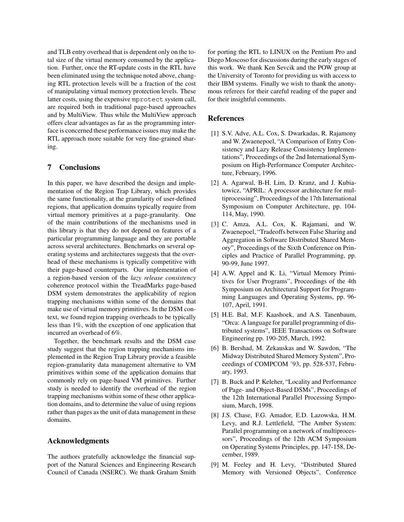and TLB entry overhead that is dependent only on the total size of the virtual memory consumed by the application. Further, once the RT-update costs in the RTL have been eliminated using the technique noted above, changing RTL protection levels will be a fraction of the cost of manipulating virtual memory protection levels. These latter costs, using the expensive mprotect system call, are required both in traditional page-based approaches and by MultiView. Thus while the MultiView approach offers clear advantages as far as the programming interface is concerned these performance issues may make the RTL approach more suitable for very fine-grained sharing.

# **7 Conclusions**

In this paper, we have described the design and implementation of the Region Trap Library, which provides the same functionality, at the granularity of user-defined regions, that application domains typically require from virtual memory primitives at a page-granularity. One of the main contributions of the mechanisms used in this library is that they do not depend on features of a particular programming language and they are portable across several architectures. Benchmarks on several operating systems and architectures suggests that the overhead of these mechanisms is typically competitive with their page-based counterparts. Our implementation of a region-based version of the *lazy release consistency* coherence protocol within the TreadMarks page-based DSM system demonstrates the applicability of region trapping mechanisms within some of the domains that make use of virtual memory primitives. In the DSM context, we found region trapping overheads to be typically less than 1%, with the exception of one application that incurred an overhead of 6%.

Together, the benchmark results and the DSM case study suggest that the region trapping mechanisms implemented in the Region Trap Library provide a feasible region-granularity data management alternative to VM primitives within some of the application domains that commonly rely on page-based VM primitives. Further study is needed to identify the overhead of the region trapping mechanisms within some of these other application domains, and to determine the value of using regions rather than pages as the unit of data management in these domains.

# **Acknowledgments**

The authors gratefully acknowledge the financial support of the Natural Sciences and Engineering Research Council of Canada (NSERC). We thank Graham Smith for porting the RTL to LINUX on the Pentium Pro and Diego Moscoso for discussions during the early stages of this work. We thank Ken Sevcik and the POW group at the University of Toronto for providing us with access to their IBM systems. Finally we wish to thank the anonymous referees for their careful reading of the paper and for their insightful comments.

# **References**

- [1] S.V. Adve, A.L. Cox, S. Dwarkadas, R. Rajamony and W. Zwaenepoel, "A Comparison of Entry Consistency and Lazy Release Consistency Implementations", Proceedings of the 2nd International Symposium on High-Performance Computer Architecture, February, 1996.
- [2] A. Agarwal, B-H. Lim, D. Kranz, and J. Kubiatowicz, "APRIL: A processor architecture for multiprocessing", Proceedings of the 17th International Symposium on Computer Architecture, pp. 104- 114, May, 1990.
- [3] C. Amza, A.L. Cox, K. Rajamani, and W. Zwaenepoel, "Tradeoffs between False Sharing and Aggregation in Software Distributed Shared Memory", Proceedings of the Sixth Conference on Principles and Practice of Parallel Programming, pp. 90-99, June 1997.
- [4] A.W. Appel and K. Li, "Virtual Memory Primitives for User Programs", Proceedings of the 4th Symposium on Architectural Support for Programming Languages and Operating Systems, pp. 96- 107, April, 1991.
- [5] H.E. Bal, M.F. Kaashoek, and A.S. Tanenbaum, "Orca: A language for parallel programming of distributed systems", IEEE Transactions on Software Engineering pp. 190-205, March, 1992.
- [6] B. Bershad, M. Zekauskas and W. Sawdon, "The Midway Distributed Shared Memory System", Proceedings of COMPCOM '93, pp. 528-537, February, 1993.
- [7] B. Buck and P. Keleher, "Locality and Performance of Page- and Object-Based DSMs", Proceedings of the 12th International Parallel Processing Symposium, March, 1998.
- [8] J.S. Chase, F.G. Amador, E.D. Lazowska, H.M. Levy, and R.J. Lettlefield, "The Amber System: Parallel programming on a network of multiprocessors", Proceedings of the 12th ACM Symposium on Operating Systems Principles, pp. 147-158, December, 1989.
- [9] M. Feeley and H. Levy, "Distributed Shared Memory with Versioned Objects", Conference